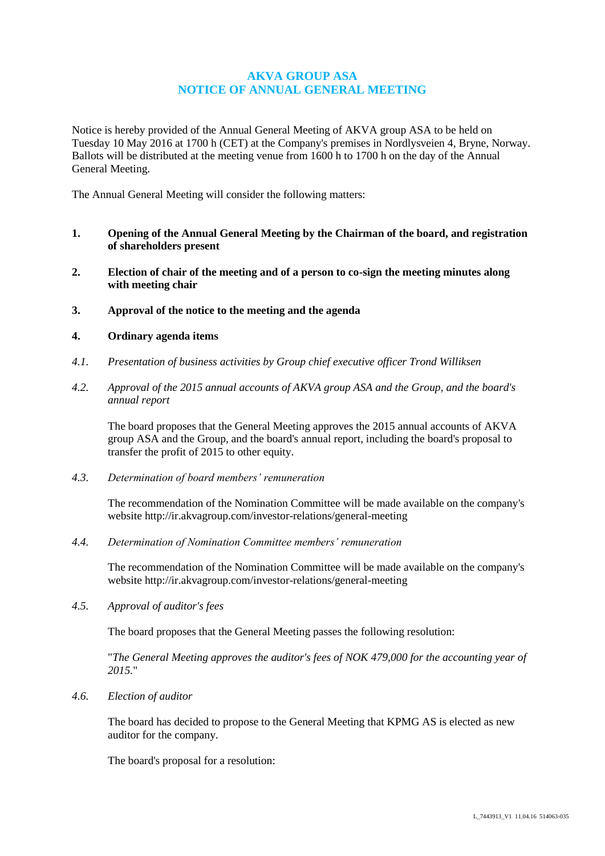# **AKVA GROUP ASA NOTICE OF ANNUAL GENERAL MEETING**

Notice is hereby provided of the Annual General Meeting of AKVA group ASA to be held on Tuesday 10 May 2016 at 1700 h (CET) at the Company's premises in Nordlysveien 4, Bryne, Norway. Ballots will be distributed at the meeting venue from 1600 h to 1700 h on the day of the Annual General Meeting.

The Annual General Meeting will consider the following matters:

- **1. Opening of the Annual General Meeting by the Chairman of the board, and registration of shareholders present**
- **2. Election of chair of the meeting and of a person to co-sign the meeting minutes along with meeting chair**
- **3. Approval of the notice to the meeting and the agenda**

# **4. Ordinary agenda items**

- *4.1. Presentation of business activities by Group chief executive officer Trond Williksen*
- *4.2. Approval of the 2015 annual accounts of AKVA group ASA and the Group, and the board's annual report*

The board proposes that the General Meeting approves the 2015 annual accounts of AKVA group ASA and the Group, and the board's annual report, including the board's proposal to transfer the profit of 2015 to other equity.

*4.3. Determination of board members' remuneration*

The recommendation of the Nomination Committee will be made available on the company's website<http://ir.akvagroup.com/investor-relations/general-meeting>

*4.4. Determination of Nomination Committee members' remuneration*

The recommendation of the Nomination Committee will be made available on the company's website<http://ir.akvagroup.com/investor-relations/general-meeting>

*4.5. Approval of auditor's fees*

The board proposes that the General Meeting passes the following resolution:

"*The General Meeting approves the auditor's fees of NOK 479,000 for the accounting year of 2015.*"

*4.6. Election of auditor*

The board has decided to propose to the General Meeting that KPMG AS is elected as new auditor for the company.

The board's proposal for a resolution: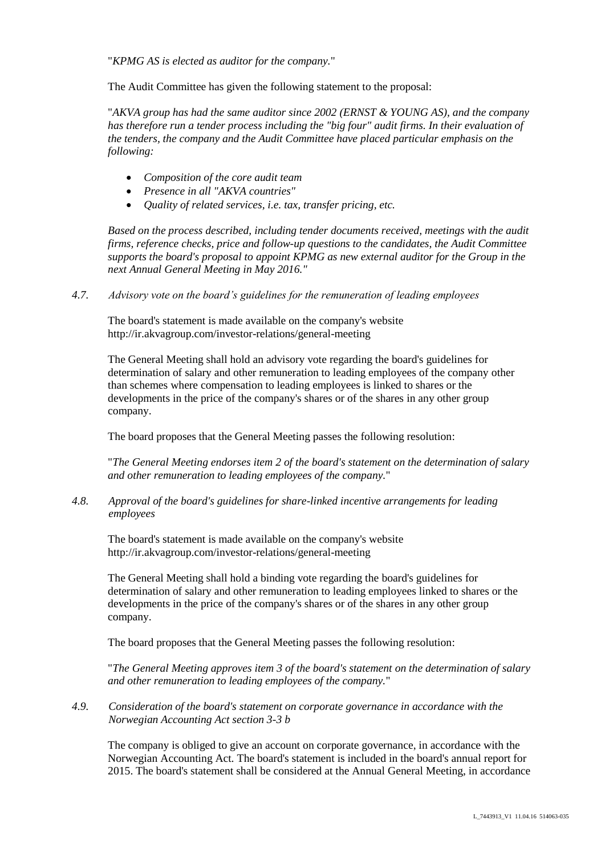"*KPMG AS is elected as auditor for the company.*"

The Audit Committee has given the following statement to the proposal:

"*AKVA group has had the same auditor since 2002 (ERNST & YOUNG AS), and the company has therefore run a tender process including the "big four" audit firms. In their evaluation of the tenders, the company and the Audit Committee have placed particular emphasis on the following:* 

- *Composition of the core audit team*
- *Presence in all "AKVA countries"*
- *Quality of related services, i.e. tax, transfer pricing, etc.*

*Based on the process described, including tender documents received, meetings with the audit firms, reference checks, price and follow-up questions to the candidates, the Audit Committee supports the board's proposal to appoint KPMG as new external auditor for the Group in the next Annual General Meeting in May 2016."*

*4.7. Advisory vote on the board's guidelines for the remuneration of leading employees*

The board's statement is made available on the company's website <http://ir.akvagroup.com/investor-relations/general-meeting>

The General Meeting shall hold an advisory vote regarding the board's guidelines for determination of salary and other remuneration to leading employees of the company other than schemes where compensation to leading employees is linked to shares or the developments in the price of the company's shares or of the shares in any other group company.

The board proposes that the General Meeting passes the following resolution:

"*The General Meeting endorses item 2 of the board's statement on the determination of salary and other remuneration to leading employees of the company.*"

*4.8. Approval of the board's guidelines for share-linked incentive arrangements for leading employees*

The board's statement is made available on the company's website <http://ir.akvagroup.com/investor-relations/general-meeting>

The General Meeting shall hold a binding vote regarding the board's guidelines for determination of salary and other remuneration to leading employees linked to shares or the developments in the price of the company's shares or of the shares in any other group company.

The board proposes that the General Meeting passes the following resolution:

"*The General Meeting approves item 3 of the board's statement on the determination of salary and other remuneration to leading employees of the company.*"

*4.9. Consideration of the board's statement on corporate governance in accordance with the Norwegian Accounting Act section 3-3 b*

The company is obliged to give an account on corporate governance, in accordance with the Norwegian Accounting Act. The board's statement is included in the board's annual report for 2015. The board's statement shall be considered at the Annual General Meeting, in accordance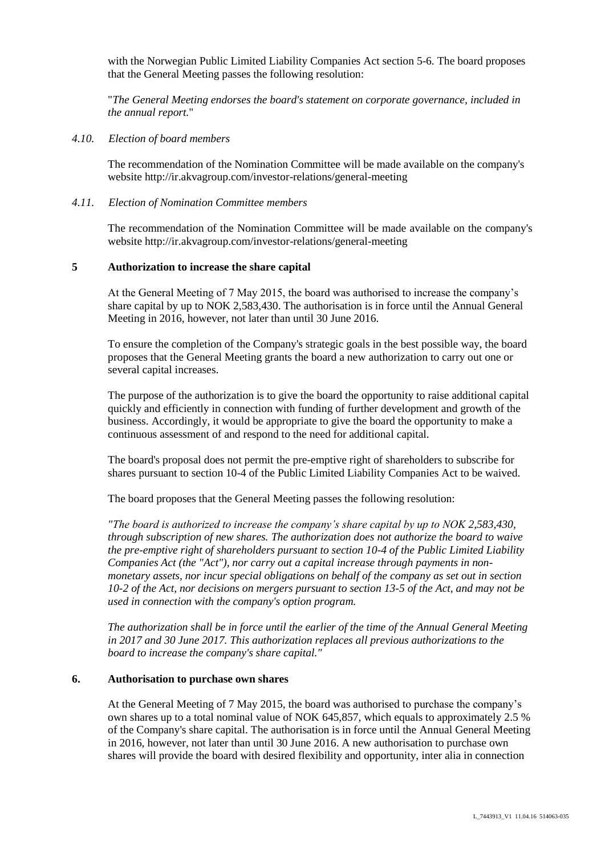with the Norwegian Public Limited Liability Companies Act section 5-6. The board proposes that the General Meeting passes the following resolution:

"*The General Meeting endorses the board's statement on corporate governance, included in the annual report.*"

### *4.10. Election of board members*

The recommendation of the Nomination Committee will be made available on the company's website<http://ir.akvagroup.com/investor-relations/general-meeting>

## *4.11. Election of Nomination Committee members*

The recommendation of the Nomination Committee will be made available on the company's website<http://ir.akvagroup.com/investor-relations/general-meeting>

## **5 Authorization to increase the share capital**

At the General Meeting of 7 May 2015, the board was authorised to increase the company's share capital by up to NOK 2,583,430. The authorisation is in force until the Annual General Meeting in 2016, however, not later than until 30 June 2016.

To ensure the completion of the Company's strategic goals in the best possible way, the board proposes that the General Meeting grants the board a new authorization to carry out one or several capital increases.

The purpose of the authorization is to give the board the opportunity to raise additional capital quickly and efficiently in connection with funding of further development and growth of the business. Accordingly, it would be appropriate to give the board the opportunity to make a continuous assessment of and respond to the need for additional capital.

The board's proposal does not permit the pre-emptive right of shareholders to subscribe for shares pursuant to section 10-4 of the Public Limited Liability Companies Act to be waived.

The board proposes that the General Meeting passes the following resolution:

*"The board is authorized to increase the company's share capital by up to NOK 2,583,430, through subscription of new shares. The authorization does not authorize the board to waive the pre-emptive right of shareholders pursuant to section 10-4 of the Public Limited Liability Companies Act (the "Act"), nor carry out a capital increase through payments in nonmonetary assets, nor incur special obligations on behalf of the company as set out in section 10-2 of the Act, nor decisions on mergers pursuant to section 13-5 of the Act, and may not be used in connection with the company's option program.*

*The authorization shall be in force until the earlier of the time of the Annual General Meeting in 2017 and 30 June 2017. This authorization replaces all previous authorizations to the board to increase the company's share capital."*

### **6. Authorisation to purchase own shares**

At the General Meeting of 7 May 2015, the board was authorised to purchase the company's own shares up to a total nominal value of NOK 645,857, which equals to approximately 2.5 % of the Company's share capital. The authorisation is in force until the Annual General Meeting in 2016, however, not later than until 30 June 2016. A new authorisation to purchase own shares will provide the board with desired flexibility and opportunity, inter alia in connection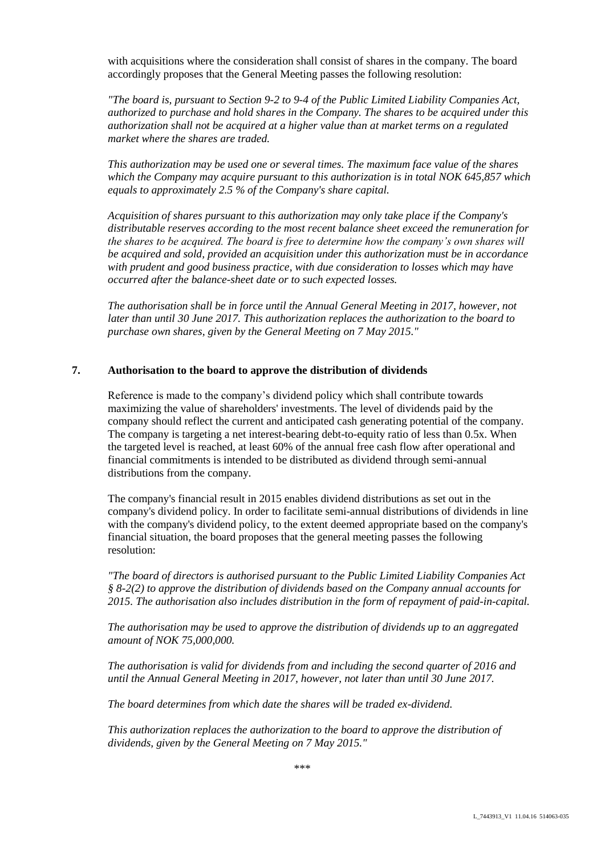with acquisitions where the consideration shall consist of shares in the company. The board accordingly proposes that the General Meeting passes the following resolution:

*"The board is, pursuant to Section 9-2 to 9-4 of the Public Limited Liability Companies Act, authorized to purchase and hold shares in the Company. The shares to be acquired under this authorization shall not be acquired at a higher value than at market terms on a regulated market where the shares are traded.*

*This authorization may be used one or several times. The maximum face value of the shares which the Company may acquire pursuant to this authorization is in total NOK 645,857 which equals to approximately 2.5 % of the Company's share capital.*

*Acquisition of shares pursuant to this authorization may only take place if the Company's distributable reserves according to the most recent balance sheet exceed the remuneration for the shares to be acquired. The board is free to determine how the company's own shares will be acquired and sold, provided an acquisition under this authorization must be in accordance with prudent and good business practice, with due consideration to losses which may have occurred after the balance-sheet date or to such expected losses.*

*The authorisation shall be in force until the Annual General Meeting in 2017, however, not later than until 30 June 2017. This authorization replaces the authorization to the board to purchase own shares, given by the General Meeting on 7 May 2015."*

### **7. Authorisation to the board to approve the distribution of dividends**

Reference is made to the company's dividend policy which shall contribute towards maximizing the value of shareholders' investments. The level of dividends paid by the company should reflect the current and anticipated cash generating potential of the company. The company is targeting a net interest-bearing debt-to-equity ratio of less than 0.5x. When the targeted level is reached, at least 60% of the annual free cash flow after operational and financial commitments is intended to be distributed as dividend through semi-annual distributions from the company.

The company's financial result in 2015 enables dividend distributions as set out in the company's dividend policy. In order to facilitate semi-annual distributions of dividends in line with the company's dividend policy, to the extent deemed appropriate based on the company's financial situation, the board proposes that the general meeting passes the following resolution:

*"The board of directors is authorised pursuant to the Public Limited Liability Companies Act § 8-2(2) to approve the distribution of dividends based on the Company annual accounts for 2015. The authorisation also includes distribution in the form of repayment of paid-in-capital.* 

*The authorisation may be used to approve the distribution of dividends up to an aggregated amount of NOK 75,000,000.* 

*The authorisation is valid for dividends from and including the second quarter of 2016 and until the Annual General Meeting in 2017, however, not later than until 30 June 2017.*

*The board determines from which date the shares will be traded ex-dividend.* 

*This authorization replaces the authorization to the board to approve the distribution of dividends, given by the General Meeting on 7 May 2015."*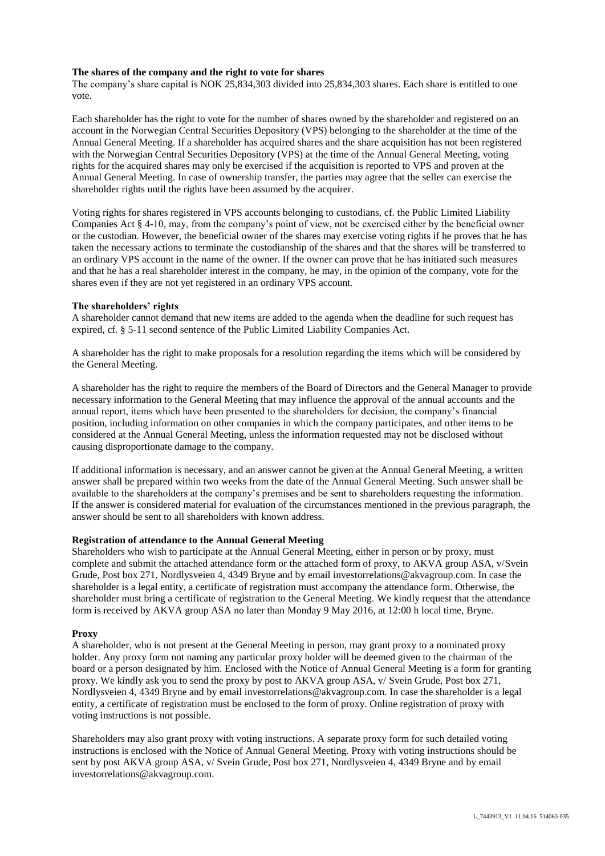#### **The shares of the company and the right to vote for shares**

The company's share capital is NOK 25,834,303 divided into 25,834,303 shares. Each share is entitled to one vote.

Each shareholder has the right to vote for the number of shares owned by the shareholder and registered on an account in the Norwegian Central Securities Depository (VPS) belonging to the shareholder at the time of the Annual General Meeting. If a shareholder has acquired shares and the share acquisition has not been registered with the Norwegian Central Securities Depository (VPS) at the time of the Annual General Meeting, voting rights for the acquired shares may only be exercised if the acquisition is reported to VPS and proven at the Annual General Meeting. In case of ownership transfer, the parties may agree that the seller can exercise the shareholder rights until the rights have been assumed by the acquirer.

Voting rights for shares registered in VPS accounts belonging to custodians, cf. the Public Limited Liability Companies Act § 4-10, may, from the company's point of view, not be exercised either by the beneficial owner or the custodian. However, the beneficial owner of the shares may exercise voting rights if he proves that he has taken the necessary actions to terminate the custodianship of the shares and that the shares will be transferred to an ordinary VPS account in the name of the owner. If the owner can prove that he has initiated such measures and that he has a real shareholder interest in the company, he may, in the opinion of the company, vote for the shares even if they are not yet registered in an ordinary VPS account.

### **The shareholders' rights**

A shareholder cannot demand that new items are added to the agenda when the deadline for such request has expired, cf. § 5-11 second sentence of the Public Limited Liability Companies Act.

A shareholder has the right to make proposals for a resolution regarding the items which will be considered by the General Meeting.

A shareholder has the right to require the members of the Board of Directors and the General Manager to provide necessary information to the General Meeting that may influence the approval of the annual accounts and the annual report, items which have been presented to the shareholders for decision, the company's financial position, including information on other companies in which the company participates, and other items to be considered at the Annual General Meeting, unless the information requested may not be disclosed without causing disproportionate damage to the company.

If additional information is necessary, and an answer cannot be given at the Annual General Meeting, a written answer shall be prepared within two weeks from the date of the Annual General Meeting. Such answer shall be available to the shareholders at the company's premises and be sent to shareholders requesting the information. If the answer is considered material for evaluation of the circumstances mentioned in the previous paragraph, the answer should be sent to all shareholders with known address.

#### **Registration of attendance to the Annual General Meeting**

Shareholders who wish to participate at the Annual General Meeting, either in person or by proxy, must complete and submit the attached attendance form or the attached form of proxy, to AKVA group ASA, v/Svein Grude, Post box 271, Nordlysveien 4, 4349 Bryne and by email investorrelations@akvagroup.com. In case the shareholder is a legal entity, a certificate of registration must accompany the attendance form. Otherwise, the shareholder must bring a certificate of registration to the General Meeting. We kindly request that the attendance form is received by AKVA group ASA no later than Monday 9 May 2016, at 12:00 h local time, Bryne.

#### **Proxy**

A shareholder, who is not present at the General Meeting in person, may grant proxy to a nominated proxy holder. Any proxy form not naming any particular proxy holder will be deemed given to the chairman of the board or a person designated by him. Enclosed with the Notice of Annual General Meeting is a form for granting proxy. We kindly ask you to send the proxy by post to AKVA group ASA, v/ Svein Grude, Post box 271, Nordlysveien 4, 4349 Bryne and by email investorrelations@akvagroup.com. In case the shareholder is a legal entity, a certificate of registration must be enclosed to the form of proxy. Online registration of proxy with voting instructions is not possible.

Shareholders may also grant proxy with voting instructions. A separate proxy form for such detailed voting instructions is enclosed with the Notice of Annual General Meeting. Proxy with voting instructions should be sent by post AKVA group ASA, v/ Svein Grude, Post box 271, Nordlysveien 4, 4349 Bryne and by email investorrelations@akvagroup.com.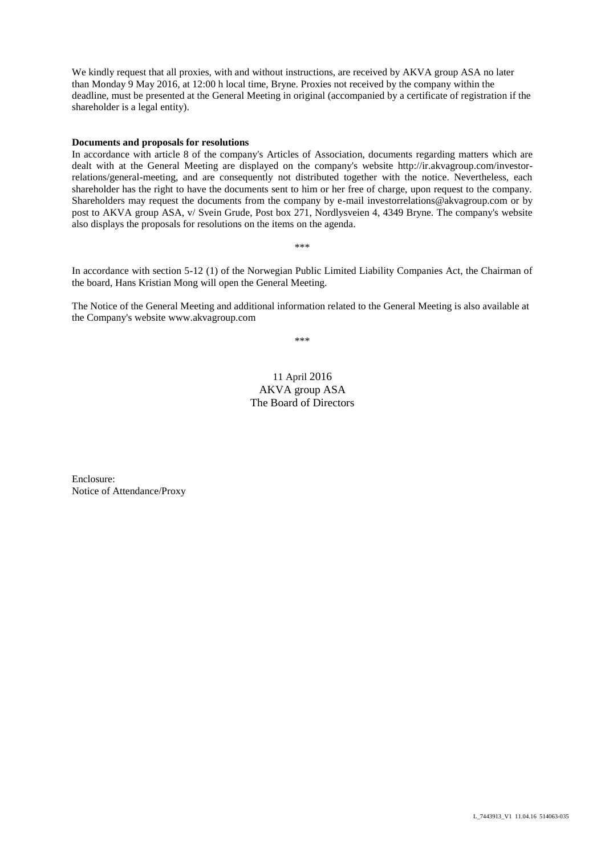We kindly request that all proxies, with and without instructions, are received by AKVA group ASA no later than Monday 9 May 2016, at 12:00 h local time, Bryne. Proxies not received by the company within the deadline, must be presented at the General Meeting in original (accompanied by a certificate of registration if the shareholder is a legal entity).

#### **Documents and proposals for resolutions**

In accordance with article 8 of the company's Articles of Association, documents regarding matters which are dealt with at the General Meeting are displayed on the company's website [http://ir.akvagroup.com/investor](http://ir.akvagroup.com/investor-relations/general-meeting)[relations/general-meeting,](http://ir.akvagroup.com/investor-relations/general-meeting) and are consequently not distributed together with the notice. Nevertheless, each shareholder has the right to have the documents sent to him or her free of charge, upon request to the company. Shareholders may request the documents from the company by e-mail investorrelations@akvagroup.com or by post to AKVA group ASA, v/ Svein Grude, Post box 271, Nordlysveien 4, 4349 Bryne. The company's website also displays the proposals for resolutions on the items on the agenda.

\*\*\*

In accordance with section 5-12 (1) of the Norwegian Public Limited Liability Companies Act, the Chairman of the board, Hans Kristian Mong will open the General Meeting.

The Notice of the General Meeting and additional information related to the General Meeting is also available at the Company's website www.akvagroup.com

\*\*\*

# 11 April 2016 AKVA group ASA The Board of Directors

Enclosure: Notice of Attendance/Proxy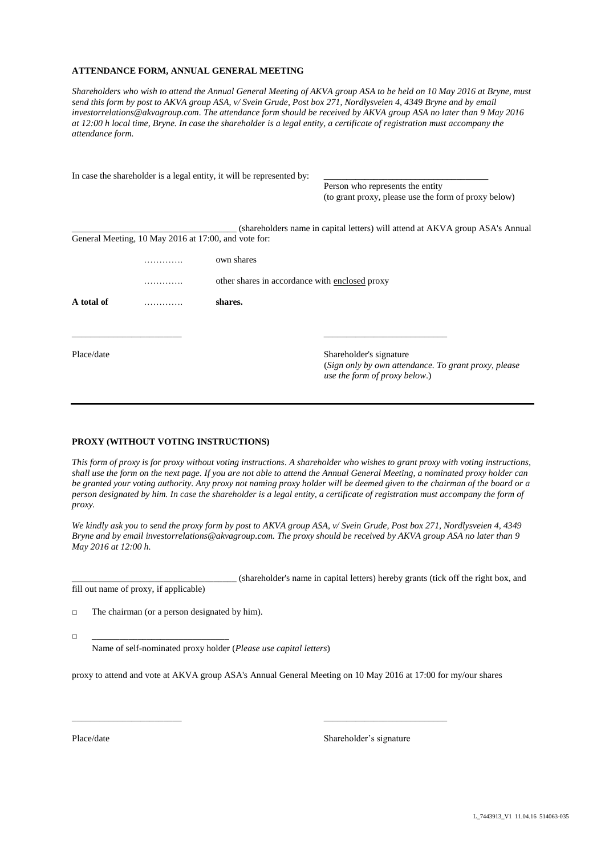#### **ATTENDANCE FORM, ANNUAL GENERAL MEETING**

*Shareholders who wish to attend the Annual General Meeting of AKVA group ASA to be held on 10 May 2016 at Bryne, must send this form by post to AKVA group ASA, v/ Svein Grude, Post box 271, Nordlysveien 4, 4349 Bryne and by email investorrelations@akvagroup.com. The attendance form should be received by AKVA group ASA no later than 9 May 2016 at 12:00 h local time, Bryne. In case the shareholder is a legal entity, a certificate of registration must accompany the attendance form.* 

|            |                                                      | In case the shareholder is a legal entity, it will be represented by: |                                                                                                                   |  |  |
|------------|------------------------------------------------------|-----------------------------------------------------------------------|-------------------------------------------------------------------------------------------------------------------|--|--|
|            |                                                      |                                                                       | Person who represents the entity                                                                                  |  |  |
|            |                                                      |                                                                       | (to grant proxy, please use the form of proxy below)                                                              |  |  |
|            |                                                      |                                                                       | (shareholders name in capital letters) will attend at AKVA group ASA's Annual                                     |  |  |
|            | General Meeting, 10 May 2016 at 17:00, and vote for: |                                                                       |                                                                                                                   |  |  |
|            |                                                      | own shares                                                            |                                                                                                                   |  |  |
|            |                                                      | other shares in accordance with enclosed proxy                        |                                                                                                                   |  |  |
| A total of | .                                                    | shares.                                                               |                                                                                                                   |  |  |
|            |                                                      |                                                                       |                                                                                                                   |  |  |
| Place/date |                                                      |                                                                       | Shareholder's signature<br>(Sign only by own attendance. To grant proxy, please)<br>use the form of proxy below.) |  |  |

#### **PROXY (WITHOUT VOTING INSTRUCTIONS)**

*This form of proxy is for proxy without voting instructions. A shareholder who wishes to grant proxy with voting instructions, shall use the form on the next page. If you are not able to attend the Annual General Meeting, a nominated proxy holder can be granted your voting authority. Any proxy not naming proxy holder will be deemed given to the chairman of the board or a person designated by him. In case the shareholder is a legal entity, a certificate of registration must accompany the form of proxy.*

*We kindly ask you to send the proxy form by post to AKVA group ASA, v/ Svein Grude, Post box 271, Nordlysveien 4, 4349 Bryne and by email investorrelations@akvagroup.com. The proxy should be received by AKVA group ASA no later than 9 May 2016 at 12:00 h.*

\_\_\_\_\_\_\_\_\_\_\_\_\_\_\_\_\_\_\_\_\_\_\_\_\_\_\_\_\_\_\_\_\_\_\_\_ (shareholder's name in capital letters) hereby grants (tick off the right box, and fill out name of proxy, if applicable)

□ The chairman (or a person designated by him).

□ \_\_\_\_\_\_\_\_\_\_\_\_\_\_\_\_\_\_\_\_\_\_\_\_\_\_\_\_\_\_

Name of self-nominated proxy holder (*Please use capital letters*)

proxy to attend and vote at AKVA group ASA's Annual General Meeting on 10 May 2016 at 17:00 for my/our shares

\_\_\_\_\_\_\_\_\_\_\_\_\_\_\_\_\_\_\_\_\_\_\_\_ \_\_\_\_\_\_\_\_\_\_\_\_\_\_\_\_\_\_\_\_\_\_\_\_\_\_\_

Place/date Shareholder's signature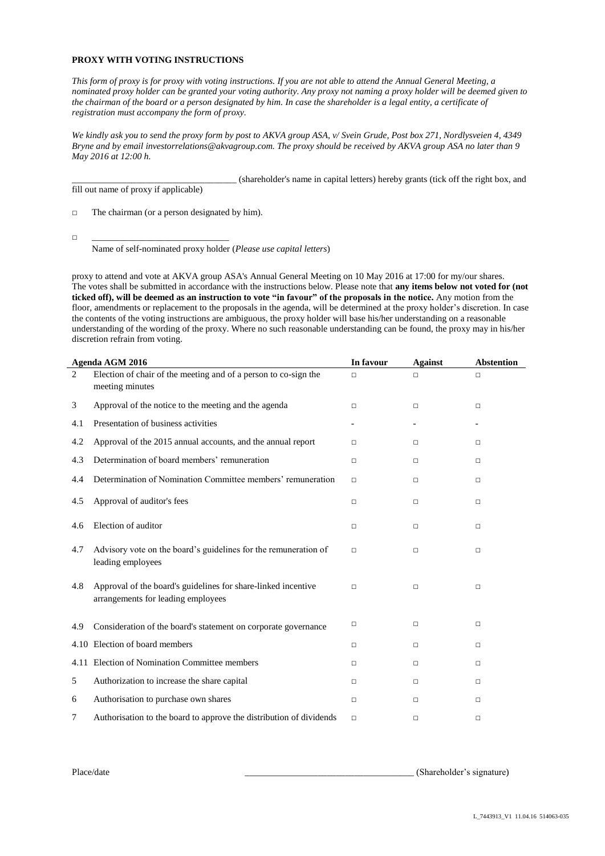### **PROXY WITH VOTING INSTRUCTIONS**

*This form of proxy is for proxy with voting instructions. If you are not able to attend the Annual General Meeting, a nominated proxy holder can be granted your voting authority. Any proxy not naming a proxy holder will be deemed given to the chairman of the board or a person designated by him. In case the shareholder is a legal entity, a certificate of registration must accompany the form of proxy.*

*We kindly ask you to send the proxy form by post to AKVA group ASA, v/ Svein Grude, Post box 271, Nordlysveien 4, 4349 Bryne and by email investorrelations@akvagroup.com. The proxy should be received by AKVA group ASA no later than 9 May 2016 at 12:00 h.*

\_\_\_\_\_\_\_\_\_\_\_\_\_\_\_\_\_\_\_\_\_\_\_\_\_\_\_\_\_\_\_\_\_\_\_\_ (shareholder's name in capital letters) hereby grants (tick off the right box, and fill out name of proxy if applicable)

□ The chairman (or a person designated by him).

□ \_\_\_\_\_\_\_\_\_\_\_\_\_\_\_\_\_\_\_\_\_\_\_\_\_\_\_\_\_\_

Name of self-nominated proxy holder (*Please use capital letters*)

proxy to attend and vote at AKVA group ASA's Annual General Meeting on 10 May 2016 at 17:00 for my/our shares. The votes shall be submitted in accordance with the instructions below. Please note that **any items below not voted for (not ticked off), will be deemed as an instruction to vote "in favour" of the proposals in the notice.** Any motion from the floor, amendments or replacement to the proposals in the agenda, will be determined at the proxy holder's discretion. In case the contents of the voting instructions are ambiguous, the proxy holder will base his/her understanding on a reasonable understanding of the wording of the proxy. Where no such reasonable understanding can be found, the proxy may in his/her discretion refrain from voting.

|     | Agenda AGM 2016                                                                                     | In favour | <b>Against</b> | <b>Abstention</b> |
|-----|-----------------------------------------------------------------------------------------------------|-----------|----------------|-------------------|
| 2   | Election of chair of the meeting and of a person to co-sign the<br>meeting minutes                  | □         | п              | □                 |
| 3   | Approval of the notice to the meeting and the agenda                                                | □         | □              | □                 |
| 4.1 | Presentation of business activities                                                                 |           |                |                   |
| 4.2 | Approval of the 2015 annual accounts, and the annual report                                         | п         | □              | □                 |
| 4.3 | Determination of board members' remuneration                                                        | $\Box$    | □              | $\Box$            |
| 4.4 | Determination of Nomination Committee members' remuneration                                         | □         | □              | □                 |
| 4.5 | Approval of auditor's fees                                                                          | □         | □              | □                 |
| 4.6 | Election of auditor                                                                                 | □         | $\Box$         | $\Box$            |
| 4.7 | Advisory vote on the board's guidelines for the remuneration of<br>leading employees                | □         | $\Box$         | □                 |
| 4.8 | Approval of the board's guidelines for share-linked incentive<br>arrangements for leading employees | $\Box$    | $\Box$         | $\Box$            |
| 4.9 | Consideration of the board's statement on corporate governance                                      | □         | □              | □                 |
|     | 4.10 Election of board members                                                                      | □         | □              | □                 |
|     | 4.11 Election of Nomination Committee members                                                       | □         | $\Box$         | □                 |
| 5   | Authorization to increase the share capital                                                         | □         | □              | □                 |
| 6   | Authorisation to purchase own shares                                                                | □         | □              | □                 |
| 7   | Authorisation to the board to approve the distribution of dividends                                 | □         | □              | □                 |

Place/date (Shareholder's signature)